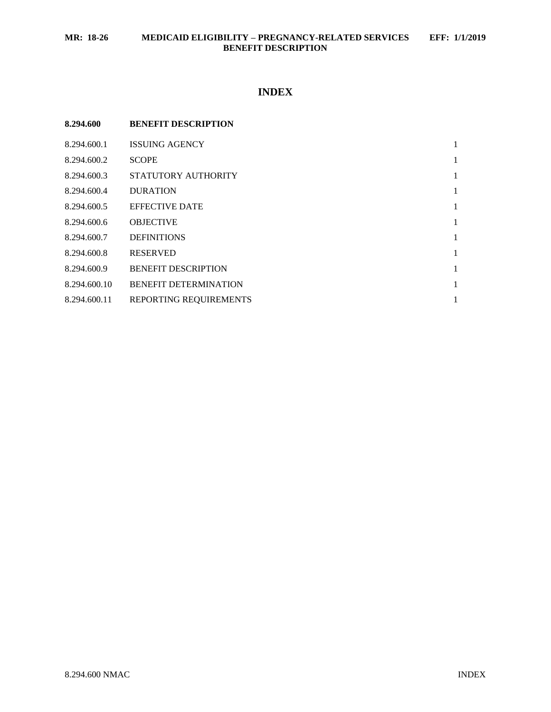# **INDEX**

| 8.294.600    | <b>BENEFIT DESCRIPTION</b>   |              |
|--------------|------------------------------|--------------|
| 8.294.600.1  | <b>ISSUING AGENCY</b>        | $\mathbf{1}$ |
| 8.294.600.2  | <b>SCOPE</b>                 | $\mathbf{1}$ |
| 8.294.600.3  | STATUTORY AUTHORITY          | $\mathbf{1}$ |
| 8.294.600.4  | <b>DURATION</b>              | $\mathbf{1}$ |
| 8.294.600.5  | <b>EFFECTIVE DATE</b>        | $\mathbf{1}$ |
| 8.294.600.6  | <b>OBJECTIVE</b>             | $\mathbf{1}$ |
| 8.294.600.7  | <b>DEFINITIONS</b>           | $\mathbf{1}$ |
| 8.294.600.8  | <b>RESERVED</b>              | $\mathbf{1}$ |
| 8.294.600.9  | <b>BENEFIT DESCRIPTION</b>   | $\mathbf{1}$ |
| 8.294.600.10 | <b>BENEFIT DETERMINATION</b> | $\mathbf{1}$ |
| 8.294.600.11 | REPORTING REQUIREMENTS       | 1            |